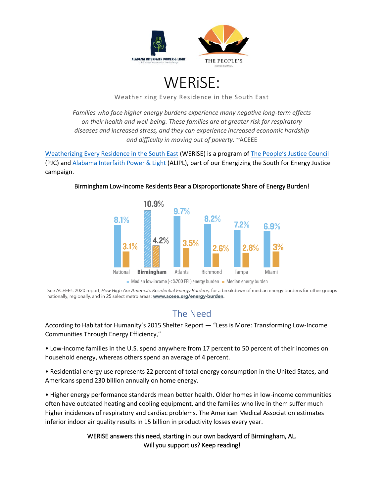

# WERiSE:

Weatherizing Every Residence in the South East

*Families who face higher energy burdens experience many negative long-term effects on their health and well-being. These families are at greater risk for respiratory diseases and increased stress, and they can experience increased economic hardship and difficulty in moving out of poverty.* ~ACEEE

[Weatherizing Every Residence in the South East](https://www.thepeoplesjusticecouncil.org/energizing-the-south) (WERiSE) is a program of [The People's Justice Council](https://www.thepeoplesjusticecouncil.org/energizing-the-south) (PJC) an[d Alabama Interfaith Power & Light](https://www.alabamaipl.org/) (ALIPL), part of our Energizing the South for Energy Justice campaign.



Birmingham Low-Income Residents Bear a Disproportionate Share of Energy Burden!

See ACEEE's 2020 report, How High Are America's Residential Energy Burdens, for a breakdown of median energy burdens for other groups nationally, regionally, and in 25 select metro areas: **www.aceee.org/energy-burden**.

# The Need

According to Habitat for Humanity's 2015 Shelter Report — "Less is More: Transforming Low-Income Communities Through Energy Efficiency,"

• Low-income families in the U.S. spend anywhere from 17 percent to 50 percent of their incomes on household energy, whereas others spend an average of 4 percent.

• Residential energy use represents 22 percent of total energy consumption in the United States, and Americans spend 230 billion annually on home energy.

• Higher energy performance standards mean better health. Older homes in low-income communities often have outdated heating and cooling equipment, and the families who live in them suffer much higher incidences of respiratory and cardiac problems. The American Medical Association estimates inferior indoor air quality results in 15 billion in productivity losses every year.

> WERiSE answers this need, starting in our own backyard of Birmingham, AL. Will you support us? Keep reading!